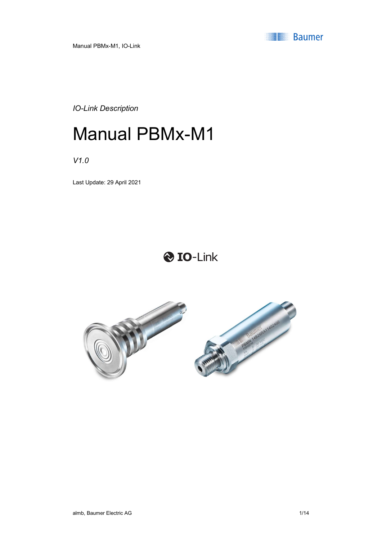

Manual PBMx-M1, IO-Link

IO-Link Description

# Manual PBMx-M1

V1.0

Last Update: 29 April 2021

# **O** IO-Link

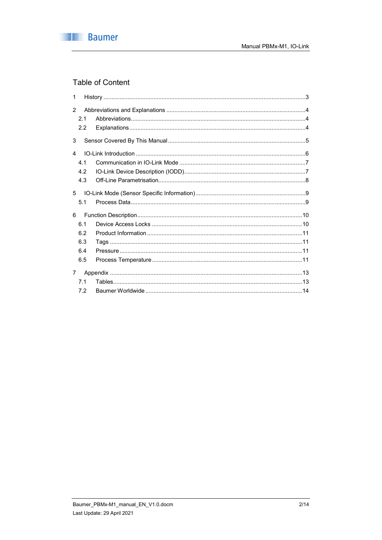

# **Table of Content**

| 1                      |     |  |
|------------------------|-----|--|
| 2                      |     |  |
|                        | 2.1 |  |
|                        | 2.2 |  |
| 3                      |     |  |
| $\boldsymbol{\Lambda}$ |     |  |
|                        | 4.1 |  |
|                        | 4.2 |  |
|                        | 4.3 |  |
| 5                      |     |  |
|                        | 5.1 |  |
| 6                      |     |  |
|                        | 6.1 |  |
|                        | 6.2 |  |
|                        | 6.3 |  |
|                        | 6.4 |  |
|                        | 6.5 |  |
| 7                      |     |  |
|                        | 7.1 |  |
|                        | 7.2 |  |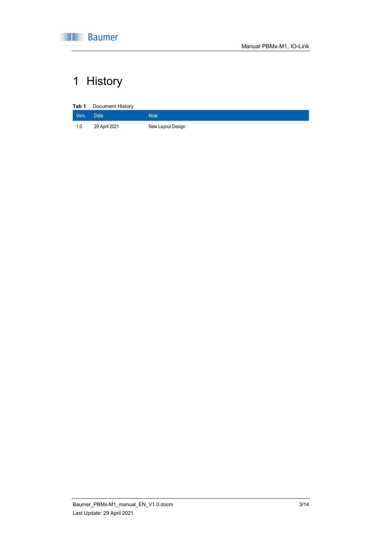

# 1 History

| Tab 1 | Document History |                   |
|-------|------------------|-------------------|
| Vers. | <b>Date</b>      | <b>Note</b>       |
| 1.0   | 29 April 2021    | New Layout Design |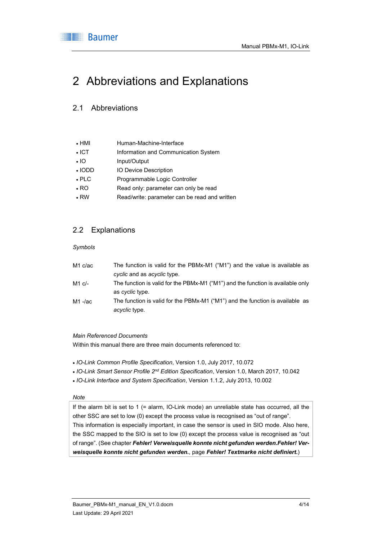

# 2 Abbreviations and Explanations

### 2.1 Abbreviations

| $\cdot$ HMI  | Human-Machine-Interface                       |
|--------------|-----------------------------------------------|
| $\cdot$ ICT  | Information and Communication System          |
| $\cdot$ IO   | Input/Output                                  |
| $\cdot$ IODD | <b>IO Device Description</b>                  |
| $\cdot$ PLC  | Programmable Logic Controller                 |
| $\cdot$ RO   | Read only: parameter can only be read         |
| $\cdot$ RW   | Read/write: parameter can be read and written |

# 2.2 Explanations

#### Symbols

| M1 c/ac    | The function is valid for the PBMx-M1 ("M1") and the value is available as      |
|------------|---------------------------------------------------------------------------------|
|            | cyclic and as acyclic type.                                                     |
| M1 c/-     | The function is valid for the PBMx-M1 ("M1") and the function is available only |
|            | as <i>cyclic</i> type.                                                          |
| $M1 - /ac$ | The function is valid for the PBMx-M1 ("M1") and the function is available as   |
|            | acyclic type.                                                                   |

#### Main Referenced Documents

Within this manual there are three main documents referenced to:

- IO-Link Common Profile Specification, Version 1.0, July 2017, 10.072
- IO-Link Smart Sensor Profile 2<sup>nd</sup> Edition Specification, Version 1.0, March 2017, 10.042
- IO-Link Interface and System Specification, Version 1.1.2, July 2013, 10.002

#### Note

If the alarm bit is set to 1 (= alarm, IO-Link mode) an unreliable state has occurred, all the other SSC are set to low (0) except the process value is recognised as "out of range". This information is especially important, in case the sensor is used in SIO mode. Also here, the SSC mapped to the SIO is set to low (0) except the process value is recognised as "out of range". (See chapter Fehler! Verweisquelle konnte nicht gefunden werden.Fehler! Verweisquelle konnte nicht gefunden werden., page Fehler! Textmarke nicht definiert.)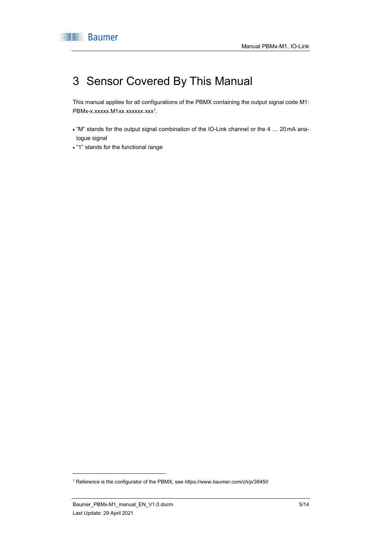# 3 Sensor Covered By This Manual

This manual applies for all configurations of the PBMX containing the output signal code M1: PBMx-x.xxxxx.M1xx.xxxxxx.xxx<sup>1</sup>.

- . "M" stands for the output signal combination of the IO-Link channel or the 4 ... 20 mA analogue signal
- "1" stands for the functional range

1

<sup>&</sup>lt;sup>1</sup> Reference is the configurator of the PBMX, see https://www.baumer.com/ch/p/38450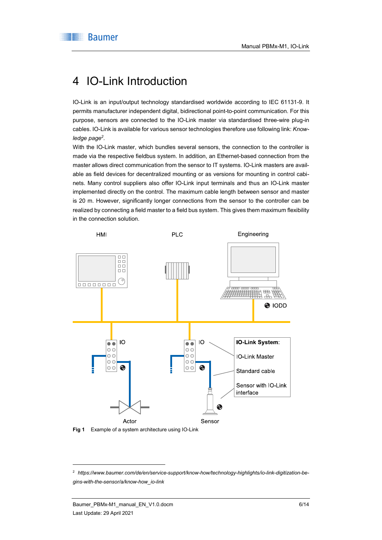# 4 IO-Link Introduction

IO-Link is an input/output technology standardised worldwide according to IEC 61131-9. It permits manufacturer independent digital, bidirectional point-to-point communication. For this purpose, sensors are connected to the IO-Link master via standardised three-wire plug-in cables. IO-Link is available for various sensor technologies therefore use following link: Knowledge page<sup>2</sup>.

With the IO-Link master, which bundles several sensors, the connection to the controller is made via the respective fieldbus system. In addition, an Ethernet-based connection from the master allows direct communication from the sensor to IT systems. IO-Link masters are available as field devices for decentralized mounting or as versions for mounting in control cabinets. Many control suppliers also offer IO-Link input terminals and thus an IO-Link master implemented directly on the control. The maximum cable length between sensor and master is 20 m. However, significantly longer connections from the sensor to the controller can be realized by connecting a field master to a field bus system. This gives them maximum flexibility in the connection solution.



Fig 1 Example of a system architecture using IO-Link

-

<sup>2</sup> https://www.baumer.com/de/en/service-support/know-how/technology-highlights/io-link-digitization-begins-with-the-sensor/a/know-how\_io-link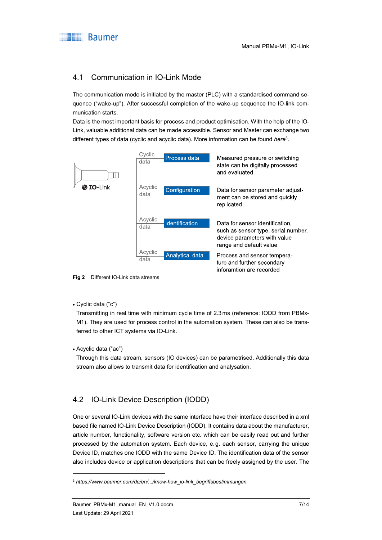# 4.1 Communication in IO-Link Mode

The communication mode is initiated by the master (PLC) with a standardised command sequence ("wake-up"). After successful completion of the wake-up sequence the IO-link communication starts.

Data is the most important basis for process and product optimisation. With the help of the IO-Link, valuable additional data can be made accessible. Sensor and Master can exchange two different types of data (cyclic and acyclic data). More information can be found here<sup>3</sup>.



Fig 2 Different IO-Link data streams

Cyclic data ("c")

Transmitting in real time with minimum cycle time of 2.3 ms (reference: IODD from PBMx-M1). They are used for process control in the automation system. These can also be transferred to other ICT systems via IO-Link.

Acyclic data ("ac")

1

Through this data stream, sensors (IO devices) can be parametrised. Additionally this data stream also allows to transmit data for identification and analysation.

# 4.2 IO-Link Device Description (IODD)

One or several IO-Link devices with the same interface have their interface described in a xml based file named IO-Link Device Description (IODD). It contains data about the manufacturer, article number, functionality, software version etc. which can be easily read out and further processed by the automation system. Each device, e.g. each sensor, carrying the unique Device ID, matches one IODD with the same Device ID. The identification data of the sensor also includes device or application descriptions that can be freely assigned by the user. The

<sup>3</sup> https://www.baumer.com/de/en/.../know-how\_io-link\_begriffsbestimmungen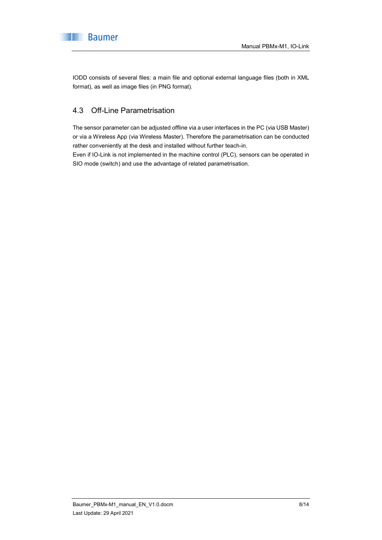

IODD consists of several files: a main file and optional external language files (both in XML format), as well as image files (in PNG format).

# 4.3 Off-Line Parametrisation

The sensor parameter can be adjusted offline via a user interfaces in the PC (via USB Master) or via a Wireless App (via Wireless Master). Therefore the parametrisation can be conducted rather conveniently at the desk and installed without further teach-in.

Even if IO-Link is not implemented in the machine control (PLC), sensors can be operated in SIO mode (switch) and use the advantage of related parametrisation.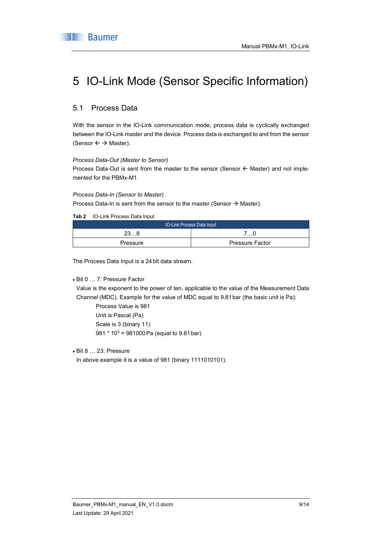

# 5 IO-Link Mode (Sensor Specific Information)

### 5.1 Process Data

With the sensor in the IO-Link communication mode, process data is cyclically exchanged between the IO-Link master and the device. Process data is exchanged to and from the sensor (Sensor  $\leftarrow \rightarrow$  Master).

#### Process Data-Out (Master to Sensor)

Process Data-Out is sent from the master to the sensor (Sensor  $\leftarrow$  Master) and not implemented for the PBMx-M1.

#### Process Data-In (Sensor to Master)

Process Data-In is sent from the sensor to the master (Sensor  $\rightarrow$  Master).

Tab 2 IO-Link Process Data Input

| <b>IO-Link Process Data Input</b> |                        |  |  |  |  |
|-----------------------------------|------------------------|--|--|--|--|
| 238                               | ∴0                     |  |  |  |  |
| Pressure                          | <b>Pressure Factor</b> |  |  |  |  |

The Process Data Input is a 24 bit data stream.

#### Bit 0 … 7: Pressure Factor

Value is the exponent to the power of ten, applicable to the value of the Measurement Data Channel (MDC). Example for the value of MDC equal to 9.81bar (the basic unit is Pa):

Process Value is 981 Unit is Pascal (Pa) Scale is 3 (binary 11) 981 \* 10<sup>3</sup> = 981000 Pa (equal to 9.81 bar)

Bit 8 … 23: Pressure

In above example it is a value of 981 (binary 1111010101).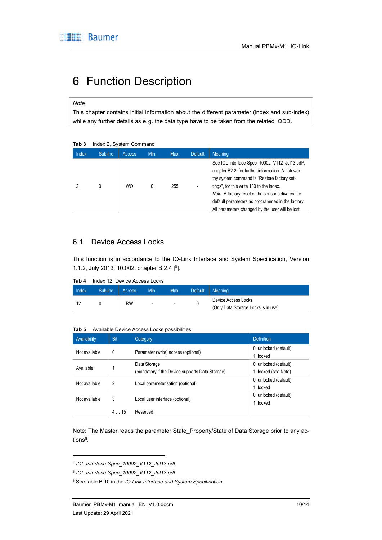# 6 Function Description

#### **Note**

This chapter contains initial information about the different parameter (index and sub-index) while any further details as e.g. the data type have to be taken from the related IODD.

|              | $11190 \times 2$ , $0$ y $0$ to $111$ of $0111$ |                                                 |  |                |  |                                                                                                                                                                                                                                                                                                                                                            |
|--------------|-------------------------------------------------|-------------------------------------------------|--|----------------|--|------------------------------------------------------------------------------------------------------------------------------------------------------------------------------------------------------------------------------------------------------------------------------------------------------------------------------------------------------------|
| <b>Index</b> | Sub-ind.                                        | Min.<br>Max.<br><b>Default</b><br><b>Access</b> |  | <b>Meaning</b> |  |                                                                                                                                                                                                                                                                                                                                                            |
|              | 0                                               | <b>WO</b>                                       |  | 255            |  | See IOL-Interface-Spec 10002 V112 Jul13.pdf4,<br>chapter B2.2, for further information. A notewor-<br>thy system command is "Restore factory set-<br>tings", for this write 130 to the index.<br>Note: A factory reset of the sensor activates the<br>default parameters as programmed in the factory.<br>All parameters changed by the user will be lost. |

#### Tab 3 Index 2, System Command

### 6.1 Device Access Locks

This function is in accordance to the IO-Link Interface and System Specification, Version 1.1.2, July 2013, 10.002, chapter B.2.4 [<sup>5</sup> ].

Tab 4 Index 12, Device Access Locks

| <b>Index</b> | Sub-ind. | Access                   | Min. | Max.                     | <b>Default</b> | Meaning                             |
|--------------|----------|--------------------------|------|--------------------------|----------------|-------------------------------------|
|              |          | <b>RW</b>                |      | $\overline{\phantom{a}}$ |                | Device Access Locks                 |
|              |          | $\overline{\phantom{a}}$ |      |                          |                | (Only Data Storage Locks is in use) |

Tab 5 Available Device Access Locks possibilities

| Availability  | Bit | Category                                                        | <b>Definition</b>                             |
|---------------|-----|-----------------------------------------------------------------|-----------------------------------------------|
| Not available | 0   | Parameter (write) access (optional)                             | 0: unlocked (default)<br>1: locked            |
| Available     |     | Data Storage<br>(mandatory if the Device supports Data Storage) | 0: unlocked (default)<br>1: locked (see Note) |
| Not available | 2   | Local parameterisation (optional)                               | 0: unlocked (default)<br>1: locked            |
| Not available | 3   | Local user interface (optional)                                 | 0: unlocked (default)<br>1: locked            |
|               | 415 | Reserved                                                        |                                               |

Note: The Master reads the parameter State\_Property/State of Data Storage prior to any actions<sup>6</sup> .

1

<sup>4</sup> IOL-Interface-Spec\_10002\_V112\_Jul13.pdf

<sup>5</sup> IOL-Interface-Spec\_10002\_V112\_Jul13.pdf

<sup>&</sup>lt;sup>6</sup> See table B.10 in the IO-Link Interface and System Specification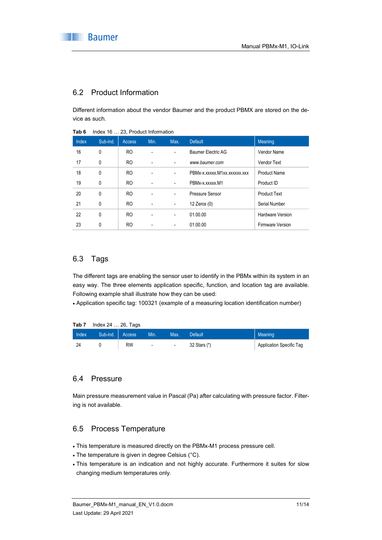

### 6.2 Product Information

Different information about the vendor Baumer and the product PBMX are stored on the device as such.

| Index | Sub-ind. | <b>Access</b> | Min. | Max.                     | <b>Default</b>               | Meaning                 |
|-------|----------|---------------|------|--------------------------|------------------------------|-------------------------|
| 16    | 0        | RO.           | ٠    | $\overline{\phantom{a}}$ | Baumer Electric AG           | Vendor Name             |
| 17    | 0        | RO.           | ٠    | $\overline{\phantom{a}}$ | www.baumer.com               | Vendor Text             |
| 18    | 0        | RO.           | ٠    | $\overline{\phantom{a}}$ | PBMx-x.xxxxx.M1xx.xxxxxx.xxx | <b>Product Name</b>     |
| 19    | 0        | RO.           | ٠    | $\overline{\phantom{a}}$ | PBMx-x.xxxxx.M1              | Product ID              |
| 20    | 0        | RO.           | ٠    | $\overline{\phantom{a}}$ | Pressure Sensor              | <b>Product Text</b>     |
| 21    | 0        | RO.           | ۰    | $\overline{\phantom{a}}$ | 12 Zeros (0)                 | Serial Number           |
| 22    | 0        | RO.           |      | $\overline{\phantom{a}}$ | 01.00.00                     | <b>Hardware Version</b> |
| 23    | 0        | RO.           |      | $\overline{\phantom{a}}$ | 01.00.00                     | <b>Firmware Version</b> |
|       |          |               |      |                          |                              |                         |

Tab 6 Index 16 … 23, Product Information

### 6.3 Tags

The different tags are enabling the sensor user to identify in the PBMx within its system in an easy way. The three elements application specific, function, and location tag are available. Following example shall illustrate how they can be used:

Application specific tag: 100321 (example of a measuring location identification number)

| Tab 7 | Index 24 … 26, Tags |    |        |                          |              |                          |
|-------|---------------------|----|--------|--------------------------|--------------|--------------------------|
| Index | Sub-ind.   Access   |    | Min.   | Max.                     | Default      | Meaning                  |
| 24    |                     | RW | $\sim$ | $\overline{\phantom{a}}$ | 32 Stars (*) | Application Specific Tag |

### 6.4 Pressure

Main pressure measurement value in Pascal (Pa) after calculating with pressure factor. Filtering is not available.

### 6.5 Process Temperature

- This temperature is measured directly on the PBMx-M1 process pressure cell.
- The temperature is given in degree Celsius (°C).
- This temperature is an indication and not highly accurate. Furthermore it suites for slow changing medium temperatures only.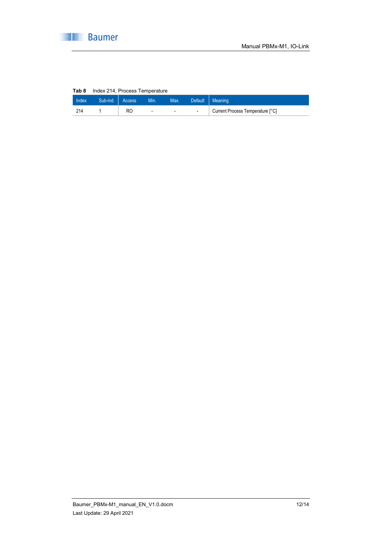

#### Tab 8 Index 214, Process Temperature

| Index | Sub-ind. Access |    | Min.                     | Max.   | Default | Meaning                          |
|-------|-----------------|----|--------------------------|--------|---------|----------------------------------|
| 214   |                 | RC | $\overline{\phantom{a}}$ | $\sim$ | $\sim$  | Current Process Temperature [°C] |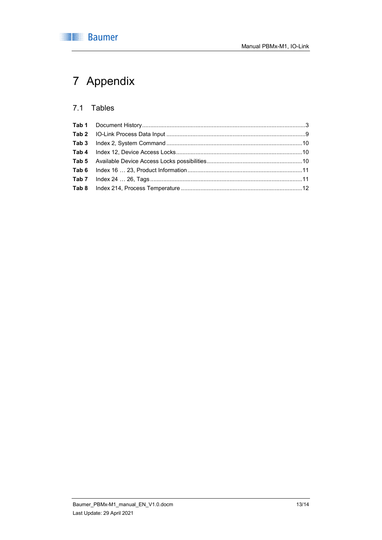

# 7 Appendix

# 7.1 Tables